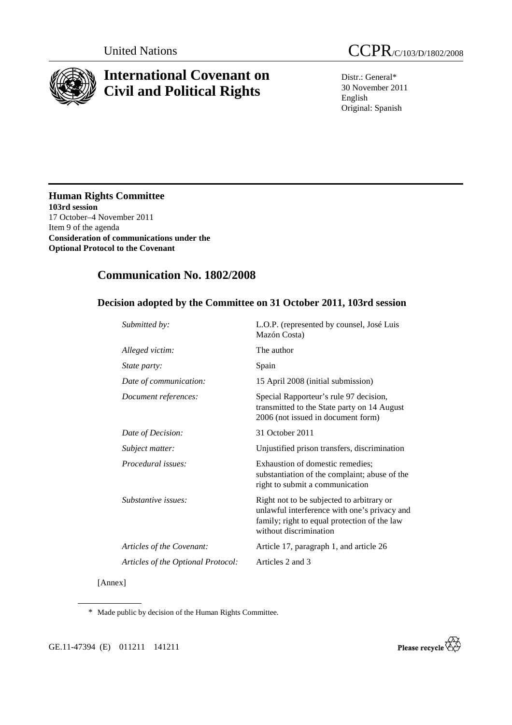

# **International Covenant on Civil and Political Rights**

Distr.: General\* 30 November 2011 English Original: Spanish

**Human Rights Committee 103rd session**  17 October–4 November 2011 Item 9 of the agenda **Consideration of communications under the Optional Protocol to the Covenant** 

## **Communication No. 1802/2008**

## **Decision adopted by the Committee on 31 October 2011, 103rd session**

| Submitted by:                      | L.O.P. (represented by counsel, José Luis<br>Mazón Costa)                                                                                                           |
|------------------------------------|---------------------------------------------------------------------------------------------------------------------------------------------------------------------|
| Alleged victim:                    | The author                                                                                                                                                          |
| <i>State party:</i>                | Spain                                                                                                                                                               |
| Date of communication:             | 15 April 2008 (initial submission)                                                                                                                                  |
| Document references:               | Special Rapporteur's rule 97 decision,<br>transmitted to the State party on 14 August<br>2006 (not issued in document form)                                         |
| Date of Decision:                  | 31 October 2011                                                                                                                                                     |
| Subject matter:                    | Unjustified prison transfers, discrimination                                                                                                                        |
| Procedural issues:                 | Exhaustion of domestic remedies;<br>substantiation of the complaint; abuse of the<br>right to submit a communication                                                |
| <i>Substantive issues:</i>         | Right not to be subjected to arbitrary or<br>unlawful interference with one's privacy and<br>family; right to equal protection of the law<br>without discrimination |
| Articles of the Covenant:          | Article 17, paragraph 1, and article 26                                                                                                                             |
| Articles of the Optional Protocol: | Articles 2 and 3                                                                                                                                                    |
|                                    |                                                                                                                                                                     |

[Annex]

\* Made public by decision of the Human Rights Committee.

GE.11-47394 (E) 011211 141211

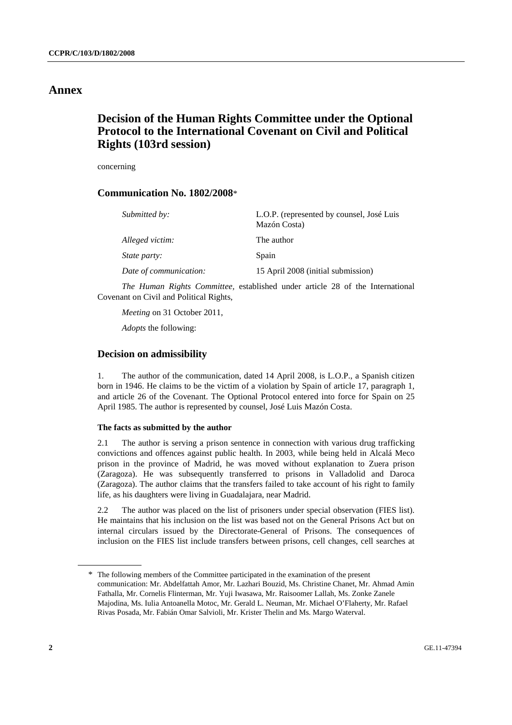## **Annex**

## **Decision of the Human Rights Committee under the Optional Protocol to the International Covenant on Civil and Political Rights (103rd session)**

concerning

### **Communication No. 1802/2008**\*

| Submitted by:          | L.O.P. (represented by counsel, José Luis<br>Mazón Costa) |
|------------------------|-----------------------------------------------------------|
| Alleged victim:        | The author                                                |
| <i>State party:</i>    | Spain                                                     |
| Date of communication: | 15 April 2008 (initial submission)                        |

*The Human Rights Committee,* established under article 28 of the International Covenant on Civil and Political Rights,

*Meeting* on 31 October 2011,

*Adopts* the following:

#### **Decision on admissibility**

1. The author of the communication, dated 14 April 2008, is L.O.P., a Spanish citizen born in 1946. He claims to be the victim of a violation by Spain of article 17, paragraph 1, and article 26 of the Covenant. The Optional Protocol entered into force for Spain on 25 April 1985. The author is represented by counsel, José Luis Mazón Costa.

#### **The facts as submitted by the author**

2.1 The author is serving a prison sentence in connection with various drug trafficking convictions and offences against public health. In 2003, while being held in Alcalá Meco prison in the province of Madrid, he was moved without explanation to Zuera prison (Zaragoza). He was subsequently transferred to prisons in Valladolid and Daroca (Zaragoza). The author claims that the transfers failed to take account of his right to family life, as his daughters were living in Guadalajara, near Madrid.

2.2 The author was placed on the list of prisoners under special observation (FIES list). He maintains that his inclusion on the list was based not on the General Prisons Act but on internal circulars issued by the Directorate-General of Prisons. The consequences of inclusion on the FIES list include transfers between prisons, cell changes, cell searches at

<sup>\*</sup> The following members of the Committee participated in the examination of the present communication: Mr. Abdelfattah Amor, Mr. Lazhari Bouzid, Ms. Christine Chanet, Mr. Ahmad Amin Fathalla, Mr. Cornelis Flinterman, Mr. Yuji Iwasawa, Mr. Raisoomer Lallah, Ms. Zonke Zanele Majodina, Ms. Iulia Antoanella Motoc, Mr. Gerald L. Neuman, Mr. Michael O'Flaherty, Mr. Rafael Rivas Posada, Mr. Fabián Omar Salvioli, Mr. Krister Thelin and Ms. Margo Waterval.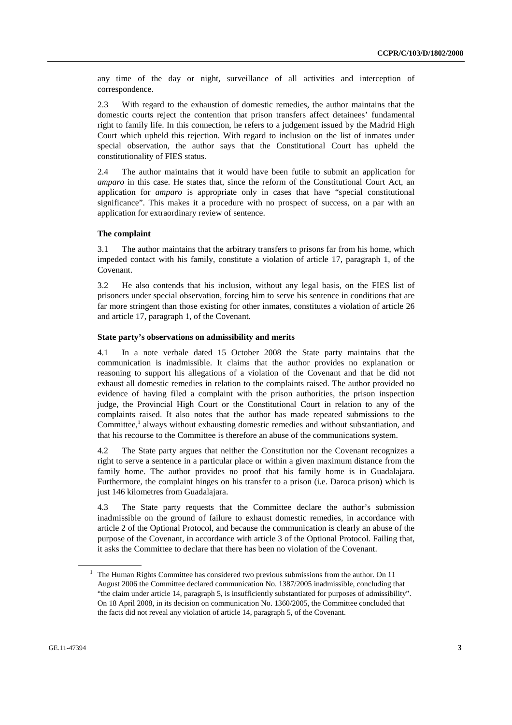any time of the day or night, surveillance of all activities and interception of correspondence.

2.3 With regard to the exhaustion of domestic remedies, the author maintains that the domestic courts reject the contention that prison transfers affect detainees' fundamental right to family life. In this connection, he refers to a judgement issued by the Madrid High Court which upheld this rejection. With regard to inclusion on the list of inmates under special observation, the author says that the Constitutional Court has upheld the constitutionality of FIES status.

2.4 The author maintains that it would have been futile to submit an application for *amparo* in this case. He states that, since the reform of the Constitutional Court Act, an application for *amparo* is appropriate only in cases that have "special constitutional significance". This makes it a procedure with no prospect of success, on a par with an application for extraordinary review of sentence.

#### **The complaint**

3.1 The author maintains that the arbitrary transfers to prisons far from his home, which impeded contact with his family, constitute a violation of article 17, paragraph 1, of the Covenant.

3.2 He also contends that his inclusion, without any legal basis, on the FIES list of prisoners under special observation, forcing him to serve his sentence in conditions that are far more stringent than those existing for other inmates, constitutes a violation of article 26 and article 17, paragraph 1, of the Covenant.

#### **State party's observations on admissibility and merits**

4.1 In a note verbale dated 15 October 2008 the State party maintains that the communication is inadmissible. It claims that the author provides no explanation or reasoning to support his allegations of a violation of the Covenant and that he did not exhaust all domestic remedies in relation to the complaints raised. The author provided no evidence of having filed a complaint with the prison authorities, the prison inspection judge, the Provincial High Court or the Constitutional Court in relation to any of the complaints raised. It also notes that the author has made repeated submissions to the Committee,<sup>1</sup> always without exhausting domestic remedies and without substantiation, and that his recourse to the Committee is therefore an abuse of the communications system.

4.2 The State party argues that neither the Constitution nor the Covenant recognizes a right to serve a sentence in a particular place or within a given maximum distance from the family home. The author provides no proof that his family home is in Guadalajara. Furthermore, the complaint hinges on his transfer to a prison (i.e. Daroca prison) which is just 146 kilometres from Guadalajara.

4.3 The State party requests that the Committee declare the author's submission inadmissible on the ground of failure to exhaust domestic remedies, in accordance with article 2 of the Optional Protocol, and because the communication is clearly an abuse of the purpose of the Covenant, in accordance with article 3 of the Optional Protocol. Failing that, it asks the Committee to declare that there has been no violation of the Covenant.

<sup>&</sup>lt;sup>1</sup> The Human Rights Committee has considered two previous submissions from the author. On 11 August 2006 the Committee declared communication No. 1387/2005 inadmissible, concluding that "the claim under article 14, paragraph 5, is insufficiently substantiated for purposes of admissibility". On 18 April 2008, in its decision on communication No. 1360/2005, the Committee concluded that the facts did not reveal any violation of article 14, paragraph 5, of the Covenant.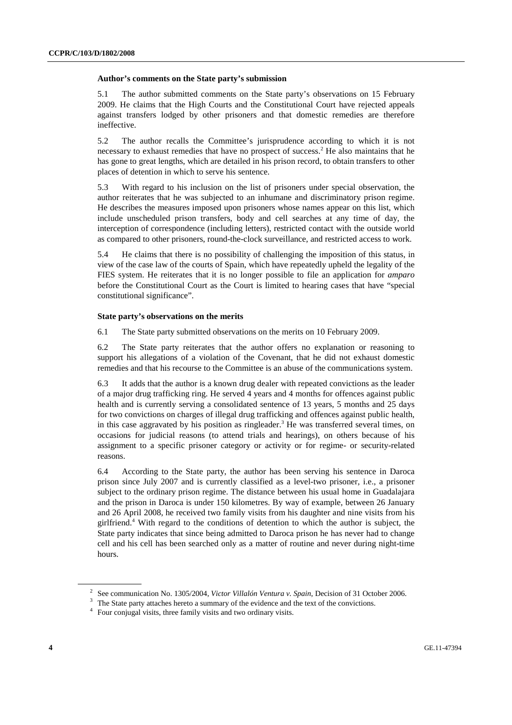#### **Author's comments on the State party's submission**

5.1 The author submitted comments on the State party's observations on 15 February 2009. He claims that the High Courts and the Constitutional Court have rejected appeals against transfers lodged by other prisoners and that domestic remedies are therefore ineffective.

5.2 The author recalls the Committee's jurisprudence according to which it is not necessary to exhaust remedies that have no prospect of success.<sup>2</sup> He also maintains that he has gone to great lengths, which are detailed in his prison record, to obtain transfers to other places of detention in which to serve his sentence.

5.3 With regard to his inclusion on the list of prisoners under special observation, the author reiterates that he was subjected to an inhumane and discriminatory prison regime. He describes the measures imposed upon prisoners whose names appear on this list, which include unscheduled prison transfers, body and cell searches at any time of day, the interception of correspondence (including letters), restricted contact with the outside world as compared to other prisoners, round-the-clock surveillance, and restricted access to work.

5.4 He claims that there is no possibility of challenging the imposition of this status, in view of the case law of the courts of Spain, which have repeatedly upheld the legality of the FIES system. He reiterates that it is no longer possible to file an application for *amparo* before the Constitutional Court as the Court is limited to hearing cases that have "special constitutional significance".

#### **State party's observations on the merits**

6.1 The State party submitted observations on the merits on 10 February 2009.

6.2 The State party reiterates that the author offers no explanation or reasoning to support his allegations of a violation of the Covenant, that he did not exhaust domestic remedies and that his recourse to the Committee is an abuse of the communications system.

6.3 It adds that the author is a known drug dealer with repeated convictions as the leader of a major drug trafficking ring. He served 4 years and 4 months for offences against public health and is currently serving a consolidated sentence of 13 years, 5 months and 25 days for two convictions on charges of illegal drug trafficking and offences against public health, in this case aggravated by his position as ringleader.<sup>3</sup> He was transferred several times, on occasions for judicial reasons (to attend trials and hearings), on others because of his assignment to a specific prisoner category or activity or for regime- or security-related reasons.

6.4 According to the State party, the author has been serving his sentence in Daroca prison since July 2007 and is currently classified as a level-two prisoner, i.e., a prisoner subject to the ordinary prison regime. The distance between his usual home in Guadalajara and the prison in Daroca is under 150 kilometres. By way of example, between 26 January and 26 April 2008, he received two family visits from his daughter and nine visits from his girlfriend.4 With regard to the conditions of detention to which the author is subject, the State party indicates that since being admitted to Daroca prison he has never had to change cell and his cell has been searched only as a matter of routine and never during night-time hours.

<sup>&</sup>lt;sup>2</sup> See communication No. 1305/2004, *Victor Villalón Ventura v. Spain*, Decision of 31 October 2006.

<sup>&</sup>lt;sup>3</sup> The State party attaches hereto a summary of the evidence and the text of the convictions.

<sup>&</sup>lt;sup>4</sup> Four conjugal visits, three family visits and two ordinary visits.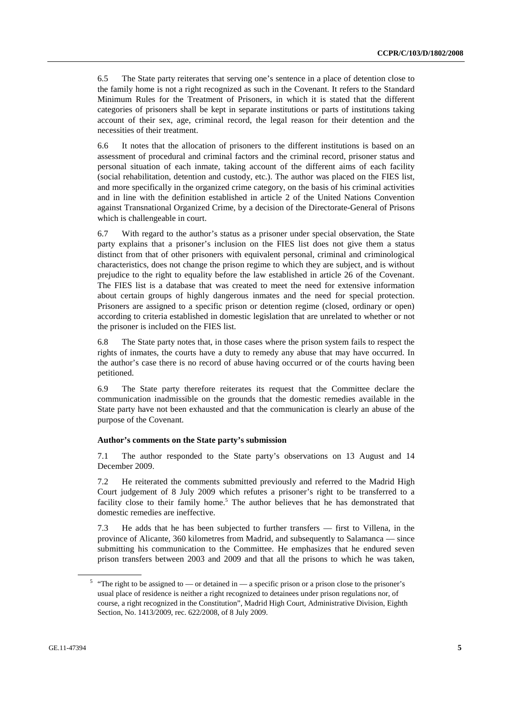6.5 The State party reiterates that serving one's sentence in a place of detention close to the family home is not a right recognized as such in the Covenant. It refers to the Standard Minimum Rules for the Treatment of Prisoners, in which it is stated that the different categories of prisoners shall be kept in separate institutions or parts of institutions taking account of their sex, age, criminal record, the legal reason for their detention and the necessities of their treatment.

6.6 It notes that the allocation of prisoners to the different institutions is based on an assessment of procedural and criminal factors and the criminal record, prisoner status and personal situation of each inmate, taking account of the different aims of each facility (social rehabilitation, detention and custody, etc.). The author was placed on the FIES list, and more specifically in the organized crime category, on the basis of his criminal activities and in line with the definition established in article 2 of the United Nations Convention against Transnational Organized Crime, by a decision of the Directorate-General of Prisons which is challengeable in court.

6.7 With regard to the author's status as a prisoner under special observation, the State party explains that a prisoner's inclusion on the FIES list does not give them a status distinct from that of other prisoners with equivalent personal, criminal and criminological characteristics, does not change the prison regime to which they are subject, and is without prejudice to the right to equality before the law established in article 26 of the Covenant. The FIES list is a database that was created to meet the need for extensive information about certain groups of highly dangerous inmates and the need for special protection. Prisoners are assigned to a specific prison or detention regime (closed, ordinary or open) according to criteria established in domestic legislation that are unrelated to whether or not the prisoner is included on the FIES list.

6.8 The State party notes that, in those cases where the prison system fails to respect the rights of inmates, the courts have a duty to remedy any abuse that may have occurred. In the author's case there is no record of abuse having occurred or of the courts having been petitioned.

6.9 The State party therefore reiterates its request that the Committee declare the communication inadmissible on the grounds that the domestic remedies available in the State party have not been exhausted and that the communication is clearly an abuse of the purpose of the Covenant.

#### **Author's comments on the State party's submission**

7.1 The author responded to the State party's observations on 13 August and 14 December 2009.

7.2 He reiterated the comments submitted previously and referred to the Madrid High Court judgement of 8 July 2009 which refutes a prisoner's right to be transferred to a facility close to their family home.<sup>5</sup> The author believes that he has demonstrated that domestic remedies are ineffective.

7.3 He adds that he has been subjected to further transfers — first to Villena, in the province of Alicante, 360 kilometres from Madrid, and subsequently to Salamanca — since submitting his communication to the Committee. He emphasizes that he endured seven prison transfers between 2003 and 2009 and that all the prisons to which he was taken,

<sup>&</sup>lt;sup>5</sup> "The right to be assigned to — or detained in — a specific prison or a prison close to the prisoner's usual place of residence is neither a right recognized to detainees under prison regulations nor, of course, a right recognized in the Constitution", Madrid High Court, Administrative Division, Eighth Section, No. 1413/2009, rec. 622/2008, of 8 July 2009.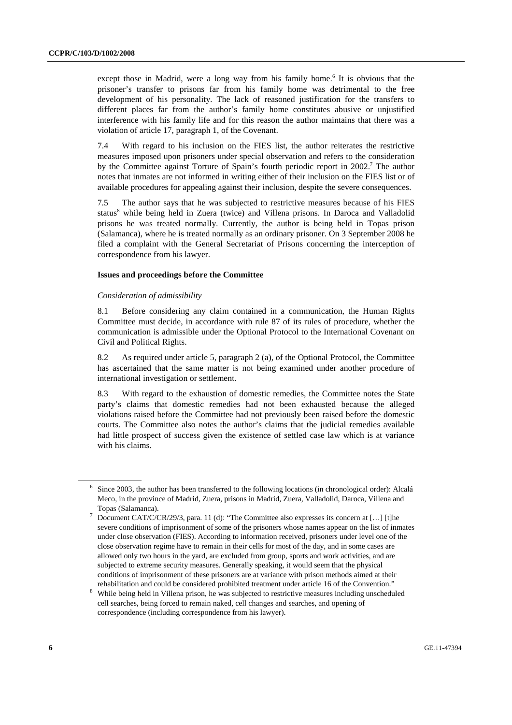except those in Madrid, were a long way from his family home.<sup>6</sup> It is obvious that the prisoner's transfer to prisons far from his family home was detrimental to the free development of his personality. The lack of reasoned justification for the transfers to different places far from the author's family home constitutes abusive or unjustified interference with his family life and for this reason the author maintains that there was a violation of article 17, paragraph 1, of the Covenant.

7.4 With regard to his inclusion on the FIES list, the author reiterates the restrictive measures imposed upon prisoners under special observation and refers to the consideration by the Committee against Torture of Spain's fourth periodic report in 2002.<sup>7</sup> The author notes that inmates are not informed in writing either of their inclusion on the FIES list or of available procedures for appealing against their inclusion, despite the severe consequences.

7.5 The author says that he was subjected to restrictive measures because of his FIES status<sup>8</sup> while being held in Zuera (twice) and Villena prisons. In Daroca and Valladolid prisons he was treated normally. Currently, the author is being held in Topas prison (Salamanca), where he is treated normally as an ordinary prisoner. On 3 September 2008 he filed a complaint with the General Secretariat of Prisons concerning the interception of correspondence from his lawyer.

#### **Issues and proceedings before the Committee**

#### *Consideration of admissibility*

8.1 Before considering any claim contained in a communication, the Human Rights Committee must decide, in accordance with rule 87 of its rules of procedure, whether the communication is admissible under the Optional Protocol to the International Covenant on Civil and Political Rights.

8.2 As required under article 5, paragraph 2 (a), of the Optional Protocol, the Committee has ascertained that the same matter is not being examined under another procedure of international investigation or settlement.

8.3 With regard to the exhaustion of domestic remedies, the Committee notes the State party's claims that domestic remedies had not been exhausted because the alleged violations raised before the Committee had not previously been raised before the domestic courts. The Committee also notes the author's claims that the judicial remedies available had little prospect of success given the existence of settled case law which is at variance with his claims.

<sup>&</sup>lt;sup>6</sup> Since 2003, the author has been transferred to the following locations (in chronological order): Alcalá Meco, in the province of Madrid, Zuera, prisons in Madrid, Zuera, Valladolid, Daroca, Villena and Topas (Salamanca).

Document CAT/C/CR/29/3, para. 11 (d): "The Committee also expresses its concern at [...] [t]he severe conditions of imprisonment of some of the prisoners whose names appear on the list of inmates under close observation (FIES). According to information received, prisoners under level one of the close observation regime have to remain in their cells for most of the day, and in some cases are allowed only two hours in the yard, are excluded from group, sports and work activities, and are subjected to extreme security measures. Generally speaking, it would seem that the physical conditions of imprisonment of these prisoners are at variance with prison methods aimed at their rehabilitation and could be considered prohibited treatment under article 16 of the Convention."<br><sup>8</sup> While heime held in Willege without he was while that a particle we assume in the line was the du

While being held in Villena prison, he was subjected to restrictive measures including unscheduled cell searches, being forced to remain naked, cell changes and searches, and opening of correspondence (including correspondence from his lawyer).